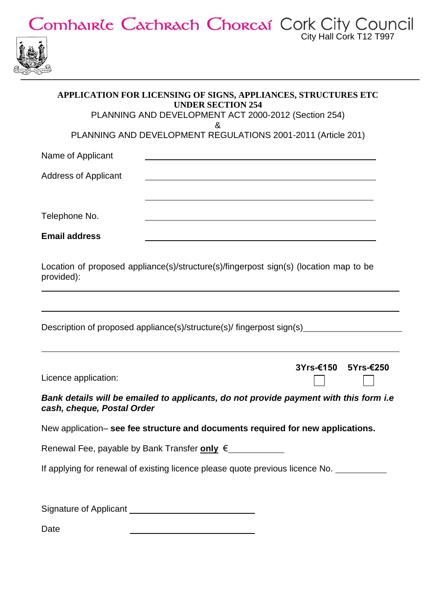

| <b>IRACH CHURCAL CUIR CITY COUL</b> |                         |
|-------------------------------------|-------------------------|
|                                     | City Hall Cork T12 T997 |
|                                     |                         |

| APPLICATION FOR LICENSING OF SIGNS, APPLIANCES, STRUCTURES ETC<br><b>UNDER SECTION 254</b>                                                           |
|------------------------------------------------------------------------------------------------------------------------------------------------------|
| PLANNING AND DEVELOPMENT ACT 2000-2012 (Section 254)<br>ଝ                                                                                            |
| PLANNING AND DEVELOPMENT REGULATIONS 2001-2011 (Article 201)                                                                                         |
| Name of Applicant                                                                                                                                    |
| <b>Address of Applicant</b><br><u> 1980 - Jan James James, martin de la populación de la propia de la populación de la propia de la populación d</u> |
| Telephone No.                                                                                                                                        |
| <b>Email address</b>                                                                                                                                 |
| Location of proposed appliance(s)/structure(s)/fingerpost sign(s) (location map to be<br>provided):                                                  |
| Description of proposed appliance(s)/structure(s)/ fingerpost sign(s)                                                                                |
| 3Yrs-€150<br>5Yrs-€250<br>Licence application:                                                                                                       |
| Bank details will be emailed to applicants, do not provide payment with this form i.e<br>cash, cheque, Postal Order                                  |
| New application- see fee structure and documents required for new applications.                                                                      |
| Renewal Fee, payable by Bank Transfer only € ____________                                                                                            |
| If applying for renewal of existing licence please quote previous licence No.                                                                        |
|                                                                                                                                                      |
| Date<br>the contract of the contract of the contract of the contract of the contract of the contract of                                              |